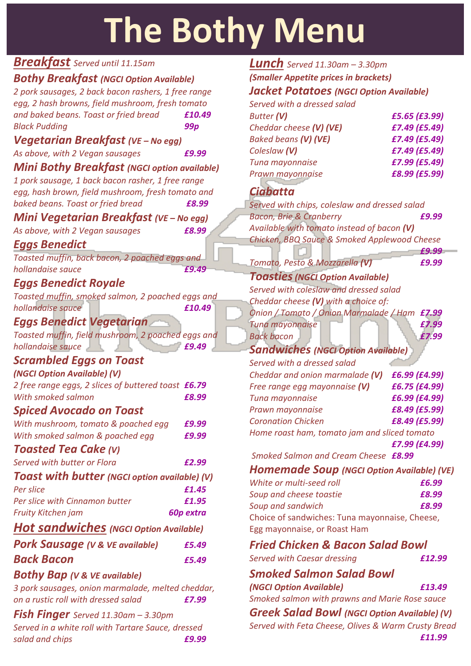# **The Bothy Menu**

# *Breakfast Served until 11.15am*

# *Bothy Breakfast (NGCI Option Available)*

| 2 pork sausages, 2 back bacon rashers, 1 free range  |           |
|------------------------------------------------------|-----------|
| egg, 2 hash browns, field mushroom, fresh tomato     |           |
| and baked beans. Toast or fried bread                | £10.49    |
| <b>Black Pudding</b>                                 | 99p       |
| Vegetarian Breakfast (VE – No egg)                   |           |
| As above, with 2 Vegan sausages                      | £9.99     |
| <b>Mini Bothy Breakfast (NGCI option available)</b>  |           |
| 1 pork sausage, 1 back bacon rasher, 1 free range    |           |
| egg, hash brown, field mushroom, fresh tomato and    |           |
| baked beans. Toast or fried bread                    | £8.99     |
| Mini Vegetarian Breakfast (VE - No egg)              |           |
| As above, with 2 Vegan sausages                      | £8.99     |
| Eggs Benedict                                        |           |
| Toasted muffin, back bacon, 2 poached eggs and       |           |
| hollandaise sauce                                    | £9.49     |
| <b>Eggs Benedict Royale</b>                          |           |
| Toasted muffin, smoked salmon, 2 poached eggs and    |           |
| hollandaise sauce                                    | £10.49    |
| <b>Eggs Benedict Vegetarian</b>                      |           |
| Toasted muffin, field mushroom, 2 poached eggs and   |           |
| hollandaise sauce<br>a sa ka                         | £9.49     |
| <b>Scrambled Eggs on Toast</b>                       |           |
| (NGCI Option Available) (V)                          |           |
| 2 free range eggs, 2 slices of buttered toast £6.79  |           |
| With smoked salmon                                   | £8.99     |
| <b>Spiced Avocado on Toast</b>                       |           |
| With mushroom, tomato & poached egg                  | £9.99     |
| With smoked salmon & poached egg                     | £9.99     |
| <b>Toasted Tea Cake (V)</b>                          |           |
| Served with butter or Flora                          | £2.99     |
| <b>Toast with butter</b> (NGCI option available) (V) |           |
| Per slice                                            | £1.45     |
| Per slice with Cinnamon butter                       | £1.95     |
| Fruity Kitchen jam                                   | 60p extra |
| Hot sandwiches (NGCI Option Available)               |           |
| <b>Pork Sausage (V &amp; VE available)</b>           | £5.49     |
| Back Bacon                                           | £5.49     |
| <b>Bothy Bap (V &amp; VE available)</b>              |           |
| 3 pork sausages, onion marmalade, melted cheddar,    |           |
| on a rustic roll with dressed salad                  | £7.99     |
| <b>Fish Finger</b> Served $11.30$ am $- 3.30$ pm     |           |
| Served in a white roll with Tartare Sauce, dressed   |           |

*salad and chips £9.99*

#### *Lunch Served* 11.30am – 3.30pm *(Smaller Appetite prices in brackets) Jacket Potatoes (NGCI Option Available)*

| Served with a dressed salad |                 |
|-----------------------------|-----------------|
| <b>Butter (V)</b>           | £5.65 (£3.99)   |
| Cheddar cheese (V) (VE)     | £7.49 (£5.49)   |
| Baked beans (V) (VE)        | $E7.49$ (£5.49) |

| Coleslaw (V)     | £7.49 (£5.49) |
|------------------|---------------|
| Tuna mayonnaise  | £7.99 (£5.49) |
| Prawn mayonnaise | £8.99 (£5.99) |

# *Ciabatta*

| Served with chips, coleslaw and dressed salad     |               |
|---------------------------------------------------|---------------|
| <b>Bacon, Brie &amp; Cranberry</b>                | £9.99         |
| Available with tomato instead of bacon (V)        |               |
| Chicken, BBQ Sauce & Smoked Applewood Cheese      |               |
|                                                   | £9.99         |
| Tomato, Pesto & Mozzarella (V)                    | £9.99         |
| <b>Toasties (NGCI Option Available)</b>           |               |
| Served with coleslaw and dressed salad            |               |
| Cheddar cheese (V) with a choice of:              |               |
| Onion / Tomato / Onion Marmalade / Ham            | £7.99         |
| <b>Tuna mayonnaise</b>                            | £7.99         |
| <b>Back bacon</b>                                 | £7.99         |
| <b>Sandwiches (NGCI Option Available)</b>         |               |
| Served with a dressed salad                       |               |
| Cheddar and onion marmalade (V)                   | £6.99 (£4.99) |
| Free range egg mayonnaise (V)                     | £6.75 (£4.99) |
| Tuna mayonnaise                                   | £6.99 (£4.99) |
| Prawn mayonnaise                                  | £8.49 (£5.99) |
| <b>Coronation Chicken</b>                         | £8.49 (£5.99) |
| Home roast ham, tomato jam and sliced tomato      |               |
|                                                   | £7.99 (£4.99) |
| Smoked Salmon and Cream Cheese £8.99              |               |
| <b>Homemade Soup (NGCI Option Available) (VE)</b> |               |
| White or multi-seed roll                          | £6.99         |
| Soup and cheese toastie                           | £8.99         |
| Soup and sandwich                                 | £8.99         |
| Choice of sandwiches: Tuna mayonnaise, Cheese,    |               |
| Egg mayonnaise, or Roast Ham                      |               |
| <b>Fried Chicken &amp; Bacon Salad Bowl</b>       |               |
| Served with Caesar dressing                       | £12.99        |
| <b>Smoked Salmon Salad Bowl</b>                   |               |
| (NGCI Option Available)                           | £13.49        |
| Smoked salmon with prawns and Marie Rose sauce    |               |

*Greek Salad Bowl (NGCI Option Available) (V) Served with Feta Cheese, Olives & Warm Crusty Bread £11.99*